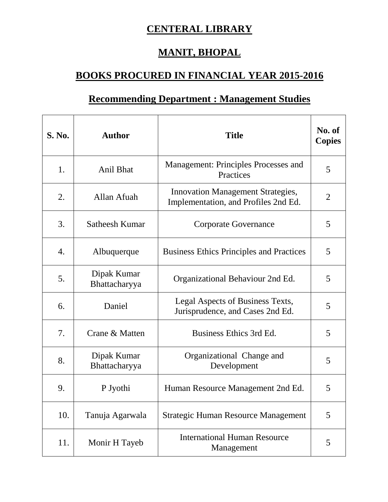## **CENTERAL LIBRARY**

## **MANIT, BHOPAL**

## **BOOKS PROCURED IN FINANCIAL YEAR 2015-2016**

## **Recommending Department : Management Studies**

| <b>S. No.</b> | <b>Author</b>                | <b>Title</b>                                                                     | No. of<br><b>Copies</b> |
|---------------|------------------------------|----------------------------------------------------------------------------------|-------------------------|
| 1.            | <b>Anil Bhat</b>             | Management: Principles Processes and<br>Practices                                | 5                       |
| 2.            | Allan Afuah                  | <b>Innovation Management Strategies,</b><br>Implementation, and Profiles 2nd Ed. | 2                       |
| 3.            | Satheesh Kumar               | <b>Corporate Governance</b>                                                      | 5                       |
| 4.            | Albuquerque                  | <b>Business Ethics Principles and Practices</b>                                  | 5                       |
| 5.            | Dipak Kumar<br>Bhattacharyya | Organizational Behaviour 2nd Ed.                                                 | 5                       |
| 6.            | Daniel                       | Legal Aspects of Business Texts,<br>Jurisprudence, and Cases 2nd Ed.             | 5                       |
| 7.            | Crane & Matten               | Business Ethics 3rd Ed.                                                          | 5                       |
| 8.            | Dipak Kumar<br>Bhattacharyya | Organizational Change and<br>Development                                         | 5                       |
| 9.            | P Jyothi                     | Human Resource Management 2nd Ed.                                                | 5                       |
| 10.           | Tanuja Agarwala              | <b>Strategic Human Resource Management</b>                                       | 5                       |
| 11.           | Monir H Tayeb                | <b>International Human Resource</b><br>Management                                | 5                       |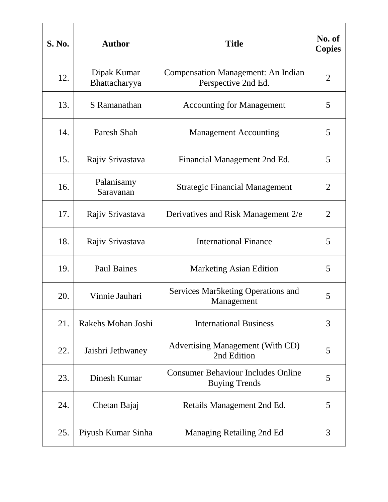| <b>S. No.</b> | <b>Author</b>                | <b>Title</b>                                                      | No. of<br><b>Copies</b> |
|---------------|------------------------------|-------------------------------------------------------------------|-------------------------|
| 12.           | Dipak Kumar<br>Bhattacharyya | <b>Compensation Management: An Indian</b><br>Perspective 2nd Ed.  | $\overline{2}$          |
| 13.           | S Ramanathan                 | <b>Accounting for Management</b>                                  | 5                       |
| 14.           | Paresh Shah                  | <b>Management Accounting</b>                                      | 5                       |
| 15.           | Rajiv Srivastava             | Financial Management 2nd Ed.                                      | 5                       |
| 16.           | Palanisamy<br>Saravanan      | <b>Strategic Financial Management</b>                             | $\overline{2}$          |
| 17.           | Rajiv Srivastava             | Derivatives and Risk Management 2/e                               | 2                       |
| 18.           | Rajiv Srivastava             | <b>International Finance</b>                                      | 5                       |
| 19.           | <b>Paul Baines</b>           | <b>Marketing Asian Edition</b>                                    | 5                       |
| 20.           | Vinnie Jauhari               | Services Mar5 keting Operations and<br>Management                 | 5                       |
| 21.           | Rakehs Mohan Joshi           | <b>International Business</b>                                     | 3                       |
| 22.           | Jaishri Jethwaney            | <b>Advertising Management (With CD)</b><br>2nd Edition            | 5                       |
| 23.           | Dinesh Kumar                 | <b>Consumer Behaviour Includes Online</b><br><b>Buying Trends</b> | 5                       |
| 24.           | Chetan Bajaj                 | Retails Management 2nd Ed.                                        | 5                       |
| 25.           | Piyush Kumar Sinha           | Managing Retailing 2nd Ed                                         | 3                       |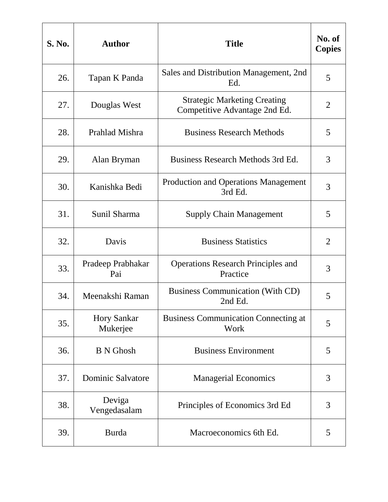| <b>S. No.</b> | <b>Author</b>                  | <b>Title</b>                                                         | No. of<br><b>Copies</b> |
|---------------|--------------------------------|----------------------------------------------------------------------|-------------------------|
| 26.           | Tapan K Panda                  | Sales and Distribution Management, 2nd<br>Ed.                        | 5                       |
| 27.           | Douglas West                   | <b>Strategic Marketing Creating</b><br>Competitive Advantage 2nd Ed. | $\overline{2}$          |
| 28.           | Prahlad Mishra                 | <b>Business Research Methods</b>                                     | 5                       |
| 29.           | Alan Bryman                    | Business Research Methods 3rd Ed.                                    | 3                       |
| 30.           | Kanishka Bedi                  | <b>Production and Operations Management</b><br>3rd Ed.               | 3                       |
| 31.           | Sunil Sharma                   | <b>Supply Chain Management</b>                                       | 5                       |
| 32.           | Davis                          | <b>Business Statistics</b>                                           | $\overline{2}$          |
| 33.           | Pradeep Prabhakar<br>Pai       | <b>Operations Research Principles and</b><br>Practice                | 3                       |
| 34.           | Meenakshi Raman                | <b>Business Communication (With CD)</b><br>2nd Ed.                   | 5                       |
| 35.           | <b>Hory Sankar</b><br>Mukerjee | <b>Business Communication Connecting at</b><br>Work                  | 5                       |
| 36.           | <b>B</b> N Ghosh               | <b>Business Environment</b>                                          | 5                       |
| 37.           | <b>Dominic Salvatore</b>       | <b>Managerial Economics</b>                                          | 3                       |
| 38.           | Deviga<br>Vengedasalam         | Principles of Economics 3rd Ed                                       | 3                       |
| 39.           | <b>Burda</b>                   | Macroeconomics 6th Ed.                                               | 5                       |